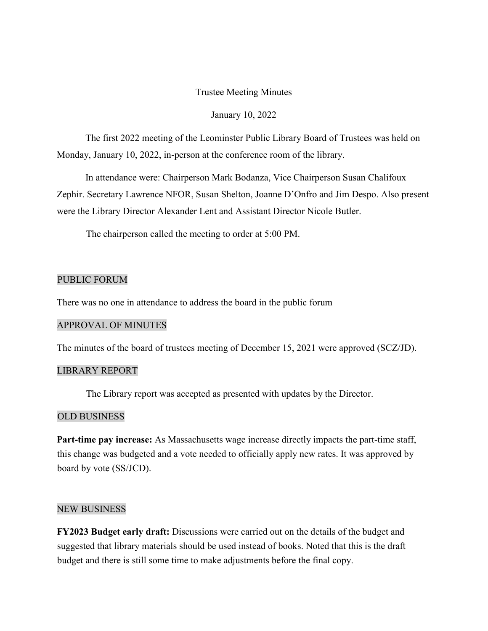# Trustee Meeting Minutes

### January 10, 2022

The first 2022 meeting of the Leominster Public Library Board of Trustees was held on Monday, January 10, 2022, in-person at the conference room of the library.

In attendance were: Chairperson Mark Bodanza, Vice Chairperson Susan Chalifoux Zephir. Secretary Lawrence NFOR, Susan Shelton, Joanne D'Onfro and Jim Despo. Also present were the Library Director Alexander Lent and Assistant Director Nicole Butler.

The chairperson called the meeting to order at 5:00 PM.

# PUBLIC FORUM

There was no one in attendance to address the board in the public forum

### APPROVAL OF MINUTES

The minutes of the board of trustees meeting of December 15, 2021 were approved (SCZ/JD).

### LIBRARY REPORT

The Library report was accepted as presented with updates by the Director.

# OLD BUSINESS

**Part-time pay increase:** As Massachusetts wage increase directly impacts the part-time staff, this change was budgeted and a vote needed to officially apply new rates. It was approved by board by vote (SS/JCD).

#### NEW BUSINESS

**FY2023 Budget early draft:** Discussions were carried out on the details of the budget and suggested that library materials should be used instead of books. Noted that this is the draft budget and there is still some time to make adjustments before the final copy.